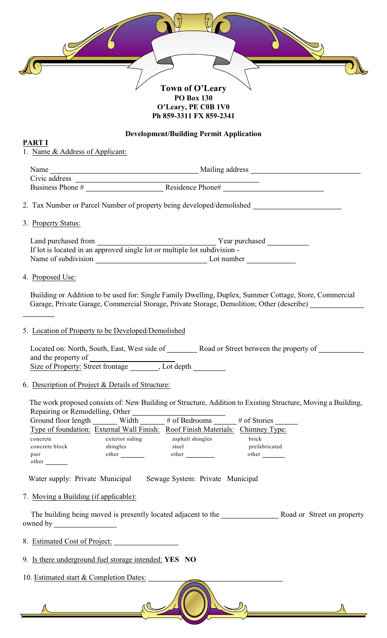

**O'Leary, PE C0B 1V0 Ph 859-3311 FX 859-2341**

#### **Development/Building Permit Application**

#### **PART I**

1. Name & Address of Applicant:

| Name             | Mailing address  |  |
|------------------|------------------|--|
| Civic address    |                  |  |
| Business Phone # | Residence Phone# |  |

2. Tax Number or Parcel Number of property being developed/demolished

3. Property Status:

 Land purchased from Year purchased If lot is located in an approved single lot or multiple lot subdivision - Name of subdivision Lot number

### 4. Proposed Use:

 $\overline{a}$ 

 Building or Addition to be used for: Single Family Dwelling, Duplex, Summer Cottage, Store, Commercial Garage, Private Garage, Commercial Storage, Private Storage, Demolition; Other (describe)

## 5. Location of Property to be Developed/Demolished

Located on: North, South, East, West side of \_\_\_\_\_\_\_\_ Road or Street between the property of and the property of Size of Property: Street frontage \_\_\_\_\_\_\_, Lot depth \_\_\_\_\_\_\_\_

## 6. Description of Project & Details of Structure:

The work proposed consists of: New Building or Structure, Addition to Existing Structure, Moving a Building, Repairing or Remodelling, Other

| Ground floor length | Width                                     | # of Bedrooms                 | $#$ of Stories |
|---------------------|-------------------------------------------|-------------------------------|----------------|
|                     | Type of foundation: External Wall Finish: | <b>Roof Finish Materials:</b> | Chimney Type:  |
| concrete            | exterior siding                           | asphalt shingles              | brick          |
| concrete block      | shingles                                  | steel                         | prefabricated  |
| p <sub>1er</sub>    | other                                     | other                         | other          |
| other               |                                           |                               |                |

Water supply: Private Municipal Sewage System: Private Municipal

## 7. Moving a Building (if applicable):

The building being moved is presently located adjacent to the Road or Street on property owned by

8. Estimated Cost of Project:

- 9. Is there underground fuel storage intended: **YES NO**
- 10. Estimated start & Completion Dates: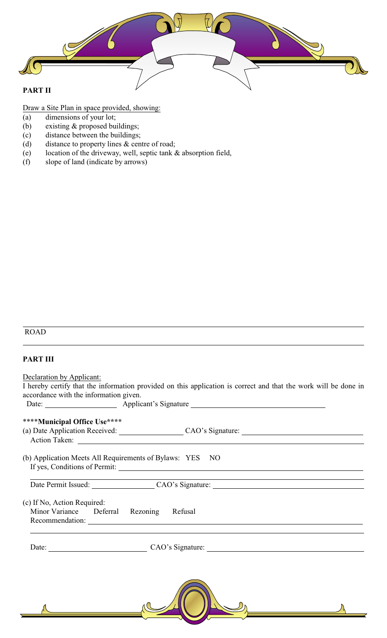

Draw a Site Plan in space provided, showing:

- (a) dimensions of your lot;
- (b) existing & proposed buildings;
- (c) distance between the buildings;
- (d) distance to property lines & centre of road;
- (e) location of the driveway, well, septic tank & absorption field,
- (f) slope of land (indicate by arrows)

# ROAD

 $\overline{a}$ 

#### **PART III**

Declaration by Applicant: I hereby certify that the information provided on this application is correct and that the work will be done in accordance with the information given. Date: **Applicant's Signature** 

| ****Municipal Office Use****                                            | (a) Date Application Received: CAO's Signature: CAO's Signature CAO's Signature CAO's Signature CAO's Signature CAO's Signature CAO's Signature CAO's Signature CAO's Signature CAO's Signature CAO's Signature CAO's Signatur<br>Action Taken: |  |
|-------------------------------------------------------------------------|-------------------------------------------------------------------------------------------------------------------------------------------------------------------------------------------------------------------------------------------------|--|
| (b) Application Meets All Requirements of Bylaws: YES NO                |                                                                                                                                                                                                                                                 |  |
|                                                                         | Date Permit Issued: CAO's Signature: CAO's Signature:                                                                                                                                                                                           |  |
| (c) If No, Action Required:<br>Minor Variance Deferral Rezoning Refusal | Recommendation:                                                                                                                                                                                                                                 |  |
|                                                                         | Date: CAO's Signature:                                                                                                                                                                                                                          |  |
|                                                                         |                                                                                                                                                                                                                                                 |  |